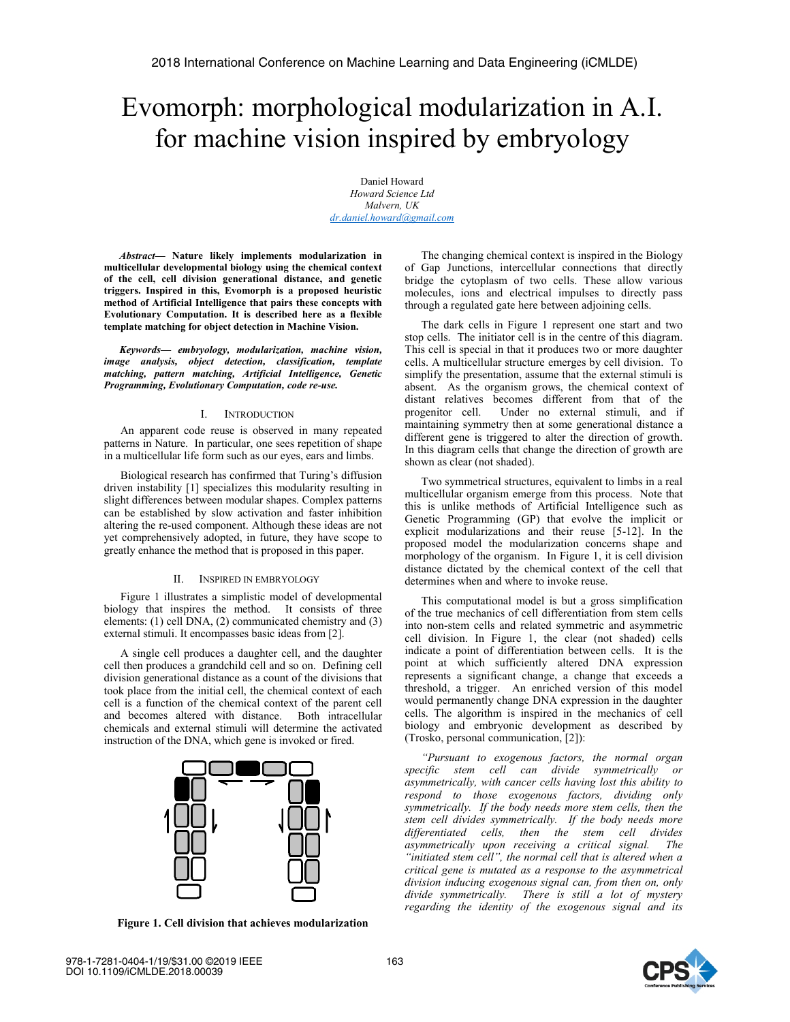# Evomorph: morphological modularization in A.I. for machine vision inspired by embryology

Daniel Howard *Howard Science Ltd Malvern, UK dr.daniel.howard@gmail.com*

*Abstract***— Nature likely implements modularization in multicellular developmental biology using the chemical context of the cell, cell division generational distance, and genetic triggers. Inspired in this, Evomorph is a proposed heuristic method of Artificial Intelligence that pairs these concepts with Evolutionary Computation. It is described here as a flexible template matching for object detection in Machine Vision.**

*Keywords— embryology, modularization, machine vision, image analysis, object detection, classification, template matching, pattern matching, Artificial Intelligence, Genetic Programming, Evolutionary Computation, code re-use.* 

### I. INTRODUCTION

An apparent code reuse is observed in many repeated patterns in Nature. In particular, one sees repetition of shape in a multicellular life form such as our eyes, ears and limbs.

Biological research has confirmed that Turing's diffusion driven instability [1] specializes this modularity resulting in slight differences between modular shapes. Complex patterns can be established by slow activation and faster inhibition altering the re-used component. Although these ideas are not yet comprehensively adopted, in future, they have scope to greatly enhance the method that is proposed in this paper.

# II. INSPIRED IN EMBRYOLOGY

Figure 1 illustrates a simplistic model of developmental biology that inspires the method. It consists of three elements: (1) cell DNA, (2) communicated chemistry and (3) external stimuli. It encompasses basic ideas from [2].

A single cell produces a daughter cell, and the daughter cell then produces a grandchild cell and so on. Defining cell division generational distance as a count of the divisions that took place from the initial cell, the chemical context of each cell is a function of the chemical context of the parent cell and becomes altered with distance. Both intracellular chemicals and external stimuli will determine the activated instruction of the DNA, which gene is invoked or fired.



**Figure 1. Cell division that achieves modularization** 

The changing chemical context is inspired in the Biology of Gap Junctions, intercellular connections that directly bridge the cytoplasm of two cells. These allow various molecules, ions and electrical impulses to directly pass through a regulated gate here between adjoining cells.

The dark cells in Figure 1 represent one start and two stop cells. The initiator cell is in the centre of this diagram. This cell is special in that it produces two or more daughter cells. A multicellular structure emerges by cell division. To simplify the presentation, assume that the external stimuli is absent. As the organism grows, the chemical context of distant relatives becomes different from that of the progenitor cell. Under no external stimuli, and if maintaining symmetry then at some generational distance a different gene is triggered to alter the direction of growth. In this diagram cells that change the direction of growth are shown as clear (not shaded).

Two symmetrical structures, equivalent to limbs in a real multicellular organism emerge from this process. Note that this is unlike methods of Artificial Intelligence such as Genetic Programming (GP) that evolve the implicit or explicit modularizations and their reuse [5-12]. In the proposed model the modularization concerns shape and morphology of the organism. In Figure 1, it is cell division distance dictated by the chemical context of the cell that determines when and where to invoke reuse.

This computational model is but a gross simplification of the true mechanics of cell differentiation from stem cells into non-stem cells and related symmetric and asymmetric cell division. In Figure 1, the clear (not shaded) cells indicate a point of differentiation between cells. It is the point at which sufficiently altered DNA expression represents a significant change, a change that exceeds a threshold, a trigger. An enriched version of this model would permanently change DNA expression in the daughter cells. The algorithm is inspired in the mechanics of cell biology and embryonic development as described by (Trosko, personal communication, [2]):

*"Pursuant to exogenous factors, the normal organ specific stem cell can divide symmetrically or asymmetrically, with cancer cells having lost this ability to respond to those exogenous factors, dividing only symmetrically. If the body needs more stem cells, then the stem cell divides symmetrically. If the body needs more differentiated cells, then the stem cell divides asymmetrically upon receiving a critical signal. The "initiated stem cell", the normal cell that is altered when a critical gene is mutated as a response to the asymmetrical division inducing exogenous signal can, from then on, only divide symmetrically. There is still a lot of mystery regarding the identity of the exogenous signal and its* 

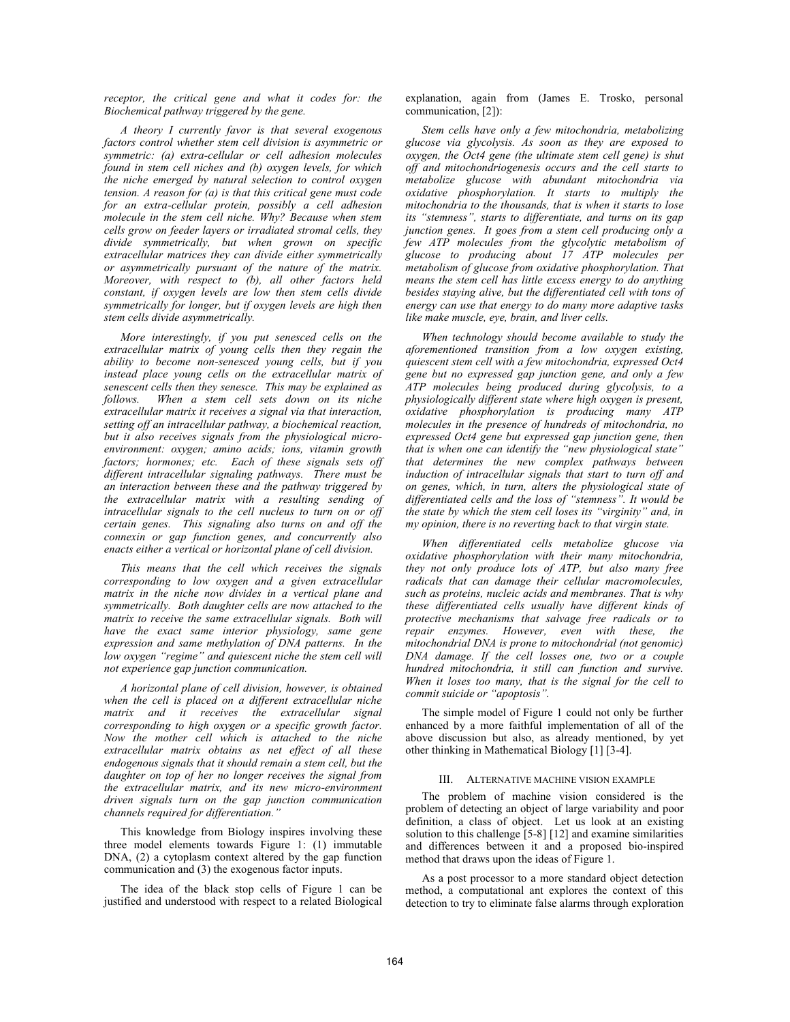*receptor, the critical gene and what it codes for: the Biochemical pathway triggered by the gene.* 

*A theory I currently favor is that several exogenous factors control whether stem cell division is asymmetric or symmetric: (a) extra-cellular or cell adhesion molecules found in stem cell niches and (b) oxygen levels, for which the niche emerged by natural selection to control oxygen tension. A reason for (a) is that this critical gene must code for an extra-cellular protein, possibly a cell adhesion molecule in the stem cell niche. Why? Because when stem cells grow on feeder layers or irradiated stromal cells, they divide symmetrically, but when grown on specific extracellular matrices they can divide either symmetrically or asymmetrically pursuant of the nature of the matrix. Moreover, with respect to (b), all other factors held constant, if oxygen levels are low then stem cells divide symmetrically for longer, but if oxygen levels are high then stem cells divide asymmetrically.*

*More interestingly, if you put senesced cells on the extracellular matrix of young cells then they regain the ability to become non-senesced young cells, but if you instead place young cells on the extracellular matrix of senescent cells then they senesce. This may be explained as follows. When a stem cell sets down on its niche extracellular matrix it receives a signal via that interaction, setting off an intracellular pathway, a biochemical reaction, but it also receives signals from the physiological microenvironment: oxygen; amino acids; ions, vitamin growth*  factors; hormones; etc. Each of these signals sets off *different intracellular signaling pathways. There must be an interaction between these and the pathway triggered by the extracellular matrix with a resulting sending of intracellular signals to the cell nucleus to turn on or off certain genes. This signaling also turns on and off the connexin or gap function genes, and concurrently also enacts either a vertical or horizontal plane of cell division.* 

*This means that the cell which receives the signals corresponding to low oxygen and a given extracellular matrix in the niche now divides in a vertical plane and symmetrically. Both daughter cells are now attached to the matrix to receive the same extracellular signals. Both will have the exact same interior physiology, same gene expression and same methylation of DNA patterns. In the low oxygen "regime" and quiescent niche the stem cell will not experience gap junction communication.* 

*A horizontal plane of cell division, however, is obtained when the cell is placed on a different extracellular niche matrix and it receives the extracellular signal corresponding to high oxygen or a specific growth factor. Now the mother cell which is attached to the niche extracellular matrix obtains as net effect of all these endogenous signals that it should remain a stem cell, but the daughter on top of her no longer receives the signal from the extracellular matrix, and its new micro-environment driven signals turn on the gap junction communication channels required for differentiation."*

This knowledge from Biology inspires involving these three model elements towards Figure 1: (1) immutable DNA, (2) a cytoplasm context altered by the gap function communication and (3) the exogenous factor inputs.

The idea of the black stop cells of Figure 1 can be justified and understood with respect to a related Biological explanation, again from (James E. Trosko, personal communication, [2]):

*Stem cells have only a few mitochondria, metabolizing glucose via glycolysis. As soon as they are exposed to oxygen, the Oct4 gene (the ultimate stem cell gene) is shut off and mitochondriogenesis occurs and the cell starts to metabolize glucose with abundant mitochondria via oxidative phosphorylation. It starts to multiply the mitochondria to the thousands, that is when it starts to lose its "stemness", starts to differentiate, and turns on its gap junction genes. It goes from a stem cell producing only a few ATP molecules from the glycolytic metabolism of glucose to producing about 17 ATP molecules per metabolism of glucose from oxidative phosphorylation. That means the stem cell has little excess energy to do anything besides staying alive, but the differentiated cell with tons of energy can use that energy to do many more adaptive tasks like make muscle, eye, brain, and liver cells.* 

*When technology should become available to study the aforementioned transition from a low oxygen existing, quiescent stem cell with a few mitochondria, expressed Oct4 gene but no expressed gap junction gene, and only a few ATP molecules being produced during glycolysis, to a physiologically different state where high oxygen is present, oxidative phosphorylation is producing many ATP molecules in the presence of hundreds of mitochondria, no expressed Oct4 gene but expressed gap junction gene, then that is when one can identify the "new physiological state" that determines the new complex pathways between induction of intracellular signals that start to turn off and on genes, which, in turn, alters the physiological state of differentiated cells and the loss of "stemness". It would be the state by which the stem cell loses its "virginity" and, in my opinion, there is no reverting back to that virgin state.*

*When differentiated cells metabolize glucose via oxidative phosphorylation with their many mitochondria, they not only produce lots of ATP, but also many free radicals that can damage their cellular macromolecules, such as proteins, nucleic acids and membranes. That is why these differentiated cells usually have different kinds of protective mechanisms that salvage free radicals or to repair enzymes. However, even with these, the mitochondrial DNA is prone to mitochondrial (not genomic) DNA damage. If the cell losses one, two or a couple hundred mitochondria, it still can function and survive. When it loses too many, that is the signal for the cell to commit suicide or "apoptosis".*

The simple model of Figure 1 could not only be further enhanced by a more faithful implementation of all of the above discussion but also, as already mentioned, by yet other thinking in Mathematical Biology [1] [3-4].

## III. ALTERNATIVE MACHINE VISION EXAMPLE

The problem of machine vision considered is the problem of detecting an object of large variability and poor definition, a class of object. Let us look at an existing solution to this challenge [5-8] [12] and examine similarities and differences between it and a proposed bio-inspired method that draws upon the ideas of Figure 1.

As a post processor to a more standard object detection method, a computational ant explores the context of this detection to try to eliminate false alarms through exploration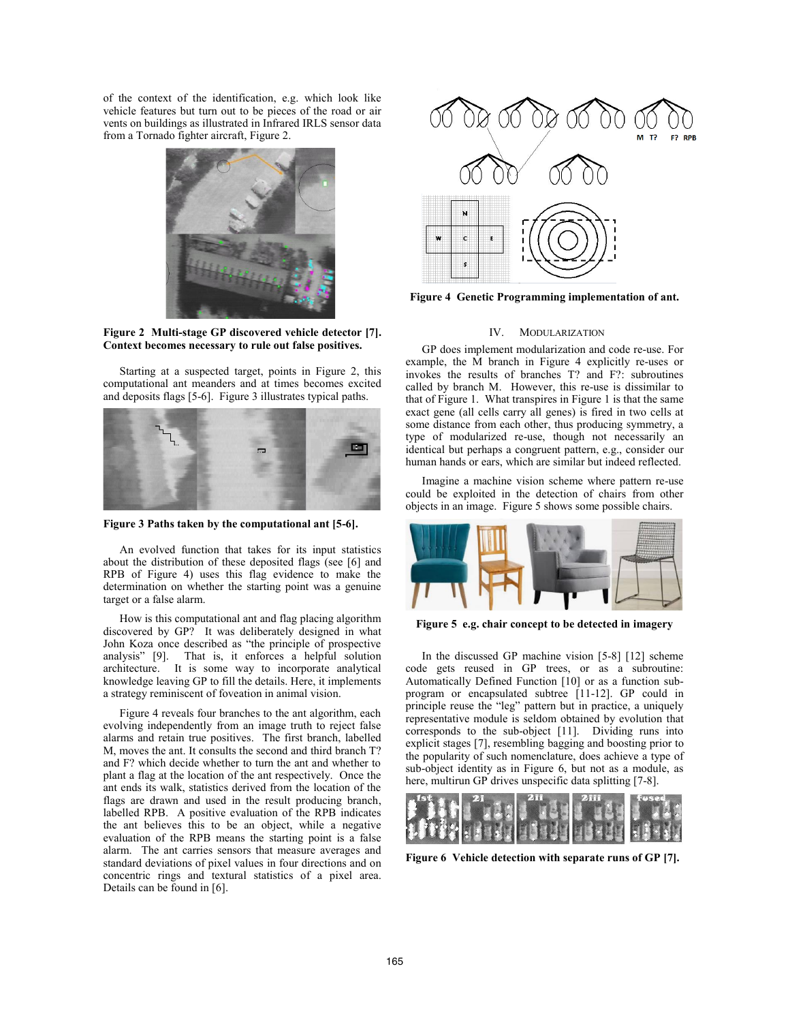of the context of the identification, e.g. which look like vehicle features but turn out to be pieces of the road or air vents on buildings as illustrated in Infrared IRLS sensor data from a Tornado fighter aircraft, Figure 2.



**Figure 2 Multi-stage GP discovered vehicle detector [7]. Context becomes necessary to rule out false positives.** 

Starting at a suspected target, points in Figure 2, this computational ant meanders and at times becomes excited and deposits flags [5-6]. Figure 3 illustrates typical paths.



**Figure 3 Paths taken by the computational ant [5-6].**

An evolved function that takes for its input statistics about the distribution of these deposited flags (see [6] and RPB of Figure 4) uses this flag evidence to make the determination on whether the starting point was a genuine target or a false alarm.

How is this computational ant and flag placing algorithm discovered by GP? It was deliberately designed in what John Koza once described as "the principle of prospective analysis" [9]. That is, it enforces a helpful solution architecture. It is some way to incorporate analytical knowledge leaving GP to fill the details. Here, it implements a strategy reminiscent of foveation in animal vision.

Figure 4 reveals four branches to the ant algorithm, each evolving independently from an image truth to reject false alarms and retain true positives. The first branch, labelled M, moves the ant. It consults the second and third branch T? and F? which decide whether to turn the ant and whether to plant a flag at the location of the ant respectively. Once the ant ends its walk, statistics derived from the location of the flags are drawn and used in the result producing branch, labelled RPB. A positive evaluation of the RPB indicates the ant believes this to be an object, while a negative evaluation of the RPB means the starting point is a false alarm. The ant carries sensors that measure averages and standard deviations of pixel values in four directions and on concentric rings and textural statistics of a pixel area. Details can be found in [6].



**Figure 4 Genetic Programming implementation of ant.** 

# IV. MODULARIZATION

GP does implement modularization and code re-use. For example, the M branch in Figure 4 explicitly re-uses or invokes the results of branches T? and F?: subroutines called by branch M. However, this re-use is dissimilar to that of Figure 1. What transpires in Figure 1 is that the same exact gene (all cells carry all genes) is fired in two cells at some distance from each other, thus producing symmetry, a type of modularized re-use, though not necessarily an identical but perhaps a congruent pattern, e.g., consider our human hands or ears, which are similar but indeed reflected.

Imagine a machine vision scheme where pattern re-use could be exploited in the detection of chairs from other objects in an image. Figure 5 shows some possible chairs.



**Figure 5 e.g. chair concept to be detected in imagery** 

In the discussed GP machine vision [5-8] [12] scheme code gets reused in GP trees, or as a subroutine: Automatically Defined Function [10] or as a function subprogram or encapsulated subtree [11-12]. GP could in principle reuse the "leg" pattern but in practice, a uniquely representative module is seldom obtained by evolution that corresponds to the sub-object [11]. Dividing runs into explicit stages [7], resembling bagging and boosting prior to the popularity of such nomenclature, does achieve a type of sub-object identity as in Figure 6, but not as a module, as here, multirun GP drives unspecific data splitting [7-8].



**Figure 6 Vehicle detection with separate runs of GP [7].**